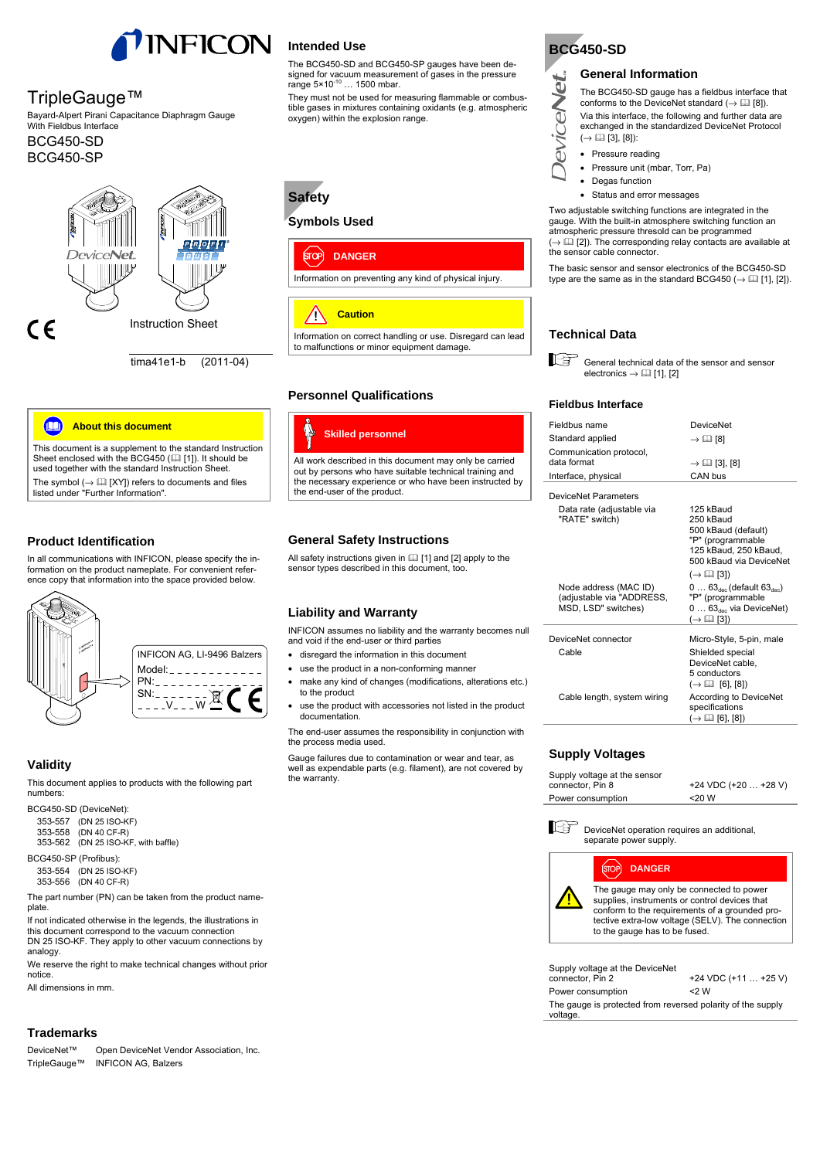

### TripleGauge™

BCG450-SP

Bayard-Alpert Pirani Capacitance Diaphragm Gauge With Fieldbus Interface BCG450-SD



tima41e1-b (2011-04)



This document is a supplement to the standard Instruction Sheet enclosed with the BCG450  $(III [1])$ . It should be used together with the standard Instruction Sheet. The symbol  $(\rightarrow \Box \Box$  [XY]) refers to documents and files listed under "Further Information".

### **Product Identification**

In all communications with INFICON, please specify the in-formation on the product nameplate. For convenient reference copy that information into the space provided below.



### **Validity**

This document applies to products with the following part numbers:

BCG450-SD (DeviceNet):

| 353-557 (DN 25 ISO-KF)              |  |  |
|-------------------------------------|--|--|
| 353-558 (DN 40 CF-R)                |  |  |
| 353-562 (DN 25 ISO-KF, with baffle) |  |  |
| .                                   |  |  |

BCG450-SP (Profibus):

353-554 (DN 25 ISO-KF) 353-556 (DN 40 CF-R)

The part number (PN) can be taken from the product nameplate.

If not indicated otherwise in the legends, the illustrations in this document correspond to the vacuum connection DN 25 ISO-KF. They apply to other vacuum connections by analogy.

We reserve the right to make technical changes without prior notice.

All dimensions in mm.

### **Trademarks**

DeviceNet™ Open DeviceNet Vendor Association, Inc. TripleGauge™ INFICON AG, Balzers

### **Intended Use**

The BCG450-SD and BCG450-SP gauges have been designed for vacuum measurement of gases in the pressure range 5×10<sup>-10</sup> ... 1500 mbar.

They must not be used for measuring flammable or combustible gases in mixtures containing oxidants (e.g. atmospheric oxygen) within the explosion range.

# **Safety**

### **Symbols Used**



#### **Caution** ZΡ

Information on correct handling or use. Disregard can lead to malfunctions or minor equipment damage.

### **Personnel Qualifications**



### **General Safety Instructions**

All safety instructions given in  $\Box$  [1] and [2] apply to the sensor types described in this document, too.

### **Liability and Warranty**

INFICON assumes no liability and the warranty becomes null and void if the end-user or third parties

- disregard the information in this document
- use the product in a non-conforming manner
- make any kind of changes (modifications, alterations etc.) to the product
- use the product with accessories not listed in the product documentation.

The end-user assumes the responsibility in conjunction with the process media used.

Gauge failures due to contamination or wear and tear, as well as expendable parts (e.g. filament), are not covered by the warranty.



**eviceNet** 

### **General Information**

The BCG450-SD gauge has a fieldbus interface that conforms to the DeviceNet standard ( $\rightarrow \Box$  [8]). Via this interface, the following and further data are

exchanged in the standardized DeviceNet Protocol  $(\rightarrow \Box$  [3], [8]):

- Pressure reading
- Pressure unit (mbar, Torr, Pa)
- Degas function
- Status and error messages

Two adjustable switching functions are integrated in the gauge. With the built-in atmosphere switching function an atmospheric pressure thresold can be programmed  $( \rightarrow \Box \Box$  [2]). The corresponding relay contacts are available at the sensor cable connector.

The basic sensor and sensor electronics of the BCG450-SD type are the same as in the standard BCG450 ( $\rightarrow$   $\Box$  [1], [2]).

### **Technical Data**

General technical data of the sensor and sensor electronics  $\rightarrow \Box$  [1], [2]

### **Fieldbus Interface**

| Fieldbus name                                                             | <b>DeviceNet</b>                                                                                                                                                          |
|---------------------------------------------------------------------------|---------------------------------------------------------------------------------------------------------------------------------------------------------------------------|
| Standard applied                                                          | $\rightarrow \Box$ [8]                                                                                                                                                    |
| Communication protocol,<br>data format                                    | $\rightarrow$ (1) [3], [8]                                                                                                                                                |
| Interface, physical                                                       | CAN bus                                                                                                                                                                   |
| DeviceNet Parameters                                                      |                                                                                                                                                                           |
| Data rate (adjustable via<br>"RATE" switch)                               | 125 kBaud<br>250 kBaud<br>500 kBaud (default)<br>"P" (programmable<br>125 kBaud, 250 kBaud,<br>500 kBaud via DeviceNet                                                    |
| Node address (MAC ID)<br>(adjustable via "ADDRESS,<br>MSD, LSD" switches) | $(\rightarrow \Box$ [3])<br>$063_{\text{dec}}$ (default $63_{\text{dec}}$ )<br>"P" (programmable<br>$0 \ldots 63_{\text{dec}}$ via DeviceNet)<br>$(\rightarrow \Box$ [3]) |
| DeviceNet connector<br>Cable                                              | Micro-Style, 5-pin, male<br>Shielded special<br>DeviceNet cable.<br>5 conductors                                                                                          |
| Cable length, system wiring                                               | $\left(\rightarrow$ [1] [6], [8])<br>According to DeviceNet<br>specifications<br>$(\rightarrow \Box$ [6], [8])                                                            |

### **Supply Voltages**

| Supply voltage at the sensor |                        |
|------------------------------|------------------------|
| connector, Pin 8             | $+24$ VDC $(+20+28$ V) |
| Power consumption            | $<$ 20 W               |



īОP

**DANGER**



The gauge may only be connected to power supplies, instruments or control devices that conform to the requirements of a grounded protective extra-low voltage (SELV). The connection to the gauge has to be fused.

| Supply voltage at the DeviceNet<br>connector, Pin 2                     | +24 VDC $(+11  +25 V)$ |
|-------------------------------------------------------------------------|------------------------|
| Power consumption                                                       | $<$ 2 W                |
| The gauge is protected from reversed polarity of the supply<br>voltage. |                        |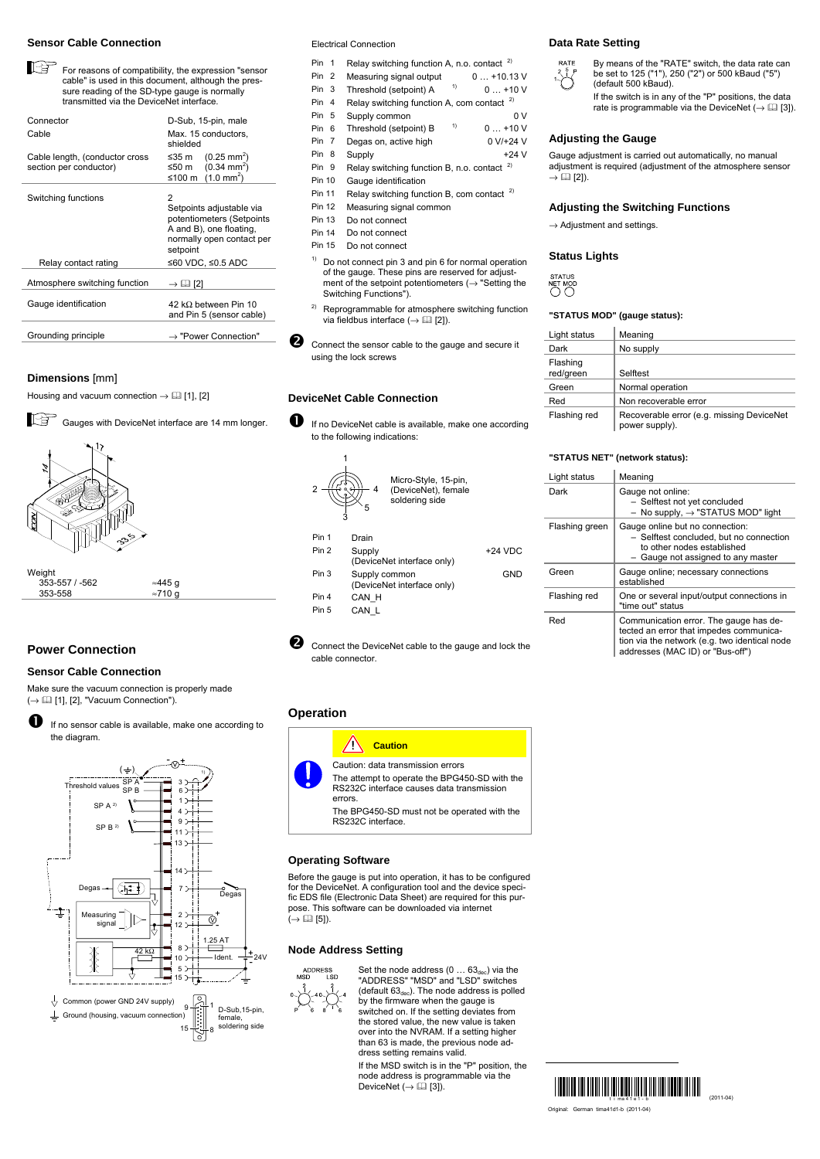#### **Sensor Cable Connection**

培 For reasons of compatibility, the expression "sensor cable" is used in this document, although the pressure reading of the SD-type gauge is normally transmitted via the DeviceNet interface.

| Connector<br>Cable                                       | D-Sub, 15-pin, male<br>Max. 15 conductors.<br>shielded                                                                         |
|----------------------------------------------------------|--------------------------------------------------------------------------------------------------------------------------------|
| Cable length, (conductor cross<br>section per conductor) | ≤35 m (0.25 mm <sup>2</sup> )<br>≤50 m $(0.34 \text{ mm}^2)$<br>≤100 m $(1.0 \text{ mm}^2)$                                    |
| Switching functions                                      | 2<br>Setpoints adjustable via<br>potentiometers (Setpoints<br>A and B), one floating,<br>normally open contact per<br>setpoint |
| Relay contact rating                                     | ≤60 VDC, ≤0.5 ADC                                                                                                              |
| Atmosphere switching function                            | $\rightarrow \Box$ [2]                                                                                                         |
| Gauge identification                                     | 42 k $\Omega$ between Pin 10<br>and Pin 5 (sensor cable)                                                                       |
| Grounding principle                                      | $\rightarrow$ "Power Connection"                                                                                               |

#### **Dimensions** [mm]

Housing and vacuum connection  $\rightarrow \Box$  [1], [2]





### **Power Connection**

### **Sensor Cable Connection**

Make sure the vacuum connection is properly made (→ [1], [2], "Vacuum Connection").

**th** If no sensor cable is available, make one according to the diagram.



Electrical Connection

| Pin 1            |   | Relay switching function A, n.o. contact $2)$ |             |
|------------------|---|-----------------------------------------------|-------------|
| Pin <sub>2</sub> |   | Measuring signal output                       | $0+10.13$ V |
| Pin <sub>3</sub> |   | 1)<br>Threshold (setpoint) A                  | $0 + 10V$   |
| Pin 4            |   | Relay switching function A, com contact $2)$  |             |
| Pin 5            |   | Supply common                                 | 0 V         |
| Pin              | 6 | 1)<br>Threshold (setpoint) B                  | $0+10V$     |

- Pin 7 Degas on, active high 0 V/+24 V
- Pin 8 Supply +24 V
- Pin 9 Relay switching function B, n.o. contact <sup>2)</sup>
- Pin 10 Gauge identification
- Pin 11 Relay switching function B, com contact  $^{2}$
- Pin 12 Measuring signal common
- Pin 13 Do not connect<br>Pin 14 Do not connect
- Do not connect
- Pin 15 Do not connect
- $1)$  Do not connect pin 3 and pin 6 for normal operation of the gauge. These pins are reserved for adjustment of the setpoint potentiometers ( $\rightarrow$  "Setting the Switching Functions").
- <sup>2)</sup> Reprogrammable for atmosphere switching function via fieldbus interface ( $\rightarrow$  [2] [2]).
- **<sup>2</sup>** Connect the sensor cable to the gauge and secure it using the lock screws

### **DeviceNet Cable Connection**

**D** If no DeviceNet cable is available, make one according to the following indications:



**O** Connect the DeviceNet cable to the gauge and lock the cable connector.

### **Operation**



Caution: data transmission errors The attempt to operate the BPG450-SD with the RS232C interface causes data transmission The BPG450-SD must not be operated with the

RS232C interface.

#### **Operating Software**

for the DeviceNet. A configuration tool and the device speci-fic EDS file (Electronic Data Sheet) are required for this purpose. This software can be downloaded via internet  $\mapsto$  ( $\Box$  [5]).

#### **Node Address Setting**



Set the node address  $(0 \dots 63_{\text{dec}})$  via the "ADDRESS" "MSD" and "LSD" switches<br>(default 63<sub>dec</sub>). The node address is polled<br>by the firmware when the gauge is switched on. If the setting deviates from the stored value, the new value is taken over into the NVRAM. If a setting higher than 63 is made, the previous node address setting remains valid.

If the MSD switch is in the "P" position, the node address is programmable via the<br>DeviceNet (→  $\Box$  [3]).

### **Data Rate Setting**



By means of the "RATE" switch, the data rate can be set to 125 ("1"), 250 ("2") or 500 kBaud ("5") (default 500 kBaud).

If the switch is in any of the "P" positions, the data rate is programmable via the DeviceNet ( $\rightarrow \Box$  [3]).

#### **Adjusting the Gauge**

Gauge adjustment is carried out automatically, no manual adjustment is required (adjustment of the atmosphere sensor  $\rightarrow$  (12).

#### **Adjusting the Switching Functions**

 $\rightarrow$  Adjustment and settings.

#### **Status Lights**

NET MOD

#### **"STATUS MOD" (gauge status):**

| Light status          | Meaning                                                     |
|-----------------------|-------------------------------------------------------------|
| Dark                  | No supply                                                   |
| Flashing<br>red/green | Selftest                                                    |
| Green                 | Normal operation                                            |
| Red                   | Non recoverable error                                       |
| Flashing red          | Recoverable error (e.g. missing DeviceNet<br>power supply). |

#### **"STATUS NET" (network status):**

| Light status   | Meaning                                                                                                                                                                |
|----------------|------------------------------------------------------------------------------------------------------------------------------------------------------------------------|
| Dark           | Gauge not online:<br>- Selftest not yet concluded<br>No supply, $\rightarrow$ "STATUS MOD" light                                                                       |
| Flashing green | Gauge online but no connection:<br>- Selftest concluded, but no connection<br>to other nodes established<br>Gauge not assigned to any master                           |
| Green          | Gauge online; necessary connections<br>established                                                                                                                     |
| Flashing red   | One or several input/output connections in<br>"time out" status                                                                                                        |
| Red            | Communication error. The gauge has de-<br>tected an error that impedes communica-<br>tion via the network (e.g. two identical node<br>addresses (MAC ID) or "Bus-off") |



Before the gauge is put into operation, it has to be configured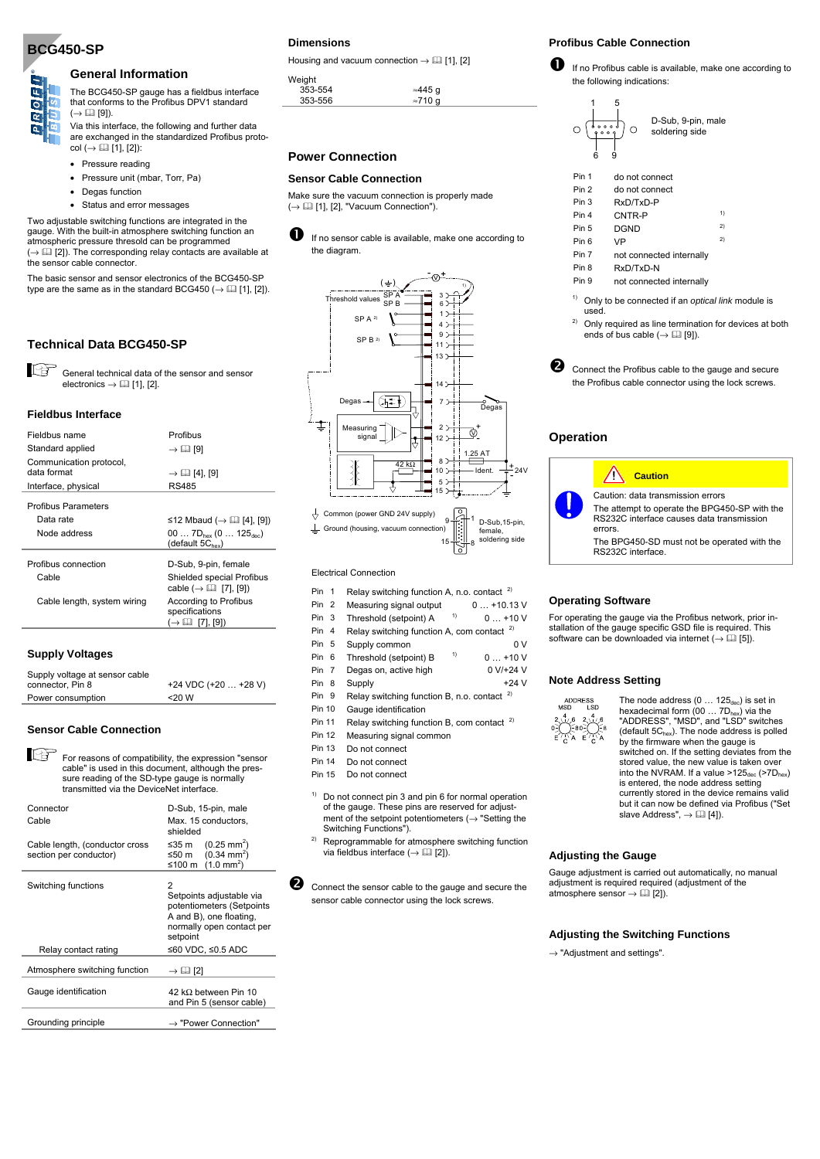## **BCG450-SP**

 $\overline{\circ}$ œ

### **General Information**

#### The BCG450-SP gauge has a fieldbus interface that conforms to the Profibus DPV1 standard  $(\rightarrow \Box$  [9]).

Via this interface, the following and further data are exchanged in the standardized Profibus protocol  $(\rightarrow \Box$  [1], [2]):

- Pressure reading
- Pressure unit (mbar, Torr, Pa)
- Degas function
- Status and error messages

Two adjustable switching functions are integrated in the gauge. With the built-in atmosphere switching function an atmospheric pressure thresold can be programmed ( $\rightarrow \Box$  [2]). The corresponding relay contacts are available at the sensor cable connector.

The basic sensor and sensor electronics of the BCG450-SP type are the same as in the standard BCG450 ( $\rightarrow \Box$  [1], [2]).

### **Technical Data BCG450-SP**

K£ General technical data of the sensor and sensor electronics  $\rightarrow$  [1], [2].

#### **Fieldbus Interface**

| Fieldbus name                          | Profibus                                                                     |
|----------------------------------------|------------------------------------------------------------------------------|
| Standard applied                       | $\rightarrow \Box$ [9]                                                       |
| Communication protocol,<br>data format | $\rightarrow$ 11 [4], [9]                                                    |
| Interface, physical                    | <b>RS485</b>                                                                 |
| <b>Profibus Parameters</b>             |                                                                              |
| Data rate                              | ≤12 Mbaud ( $\rightarrow$ [1] [4], [9])                                      |
| Node address                           | 00 $7D_{\text{hex}}$ (0 $125_{\text{dec}}$ )<br>(default $5C_{\text{hex}}$ ) |
| Profibus connection                    | D-Sub, 9-pin, female                                                         |
| Cable                                  | Shielded special Profibus<br>cable $(\rightarrow \Box$ [7], [9])             |
| Cable length, system wiring            | According to Profibus<br>specifications<br>(→ Ш [7], [9])                    |
|                                        |                                                                              |

#### **Supply Voltages**

| Supply voltage at sensor cable |                        |
|--------------------------------|------------------------|
| connector, Pin 8               | $+24$ VDC $(+20+28$ V) |
| Power consumption              | $<$ 20 W               |

#### **Sensor Cable Connection**

For reasons of compatibility, the expression "sensor cable" is used in this document, although the pressure reading of the SD-type gauge is normally transmitted via the DeviceNet interface.

| Connector<br>Cable                                       | D-Sub, 15-pin, male<br>Max. 15 conductors,<br>shielded                                                                                              |
|----------------------------------------------------------|-----------------------------------------------------------------------------------------------------------------------------------------------------|
| Cable length, (conductor cross<br>section per conductor) | ≤35 m (0.25 mm <sup>2</sup> )<br>$(0.34 \text{ mm}^2)$<br>≤50 m<br>$(1.0 \text{ mm}^2)$<br>≤100 m                                                   |
| Switching functions<br>Relay contact rating              | 2<br>Setpoints adjustable via<br>potentiometers (Setpoints<br>A and B), one floating,<br>normally open contact per<br>setpoint<br>≤60 VDC, ≤0.5 ADC |
| Atmosphere switching function                            | $\rightarrow \Box$ [2]                                                                                                                              |
| Gauge identification                                     | 42 k $\Omega$ between Pin 10<br>and Pin 5 (sensor cable)                                                                                            |
| Grounding principle                                      | $\rightarrow$ "Power Connection"                                                                                                                    |

### **Dimensions**

Housing and vacuum connection  $\rightarrow \Box$  [1], [2]

| Weight  |                 |
|---------|-----------------|
| 353-554 | ≈445 q          |
| 353-556 | $\approx$ 710 q |
|         |                 |

### **Power Connection**

#### **Sensor Cable Connection**

Make sure the vacuum connection is properly made  $(\rightarrow \Box$  [1], [2], "Vacuum Connection").





┶ Ground (housing, vacuum connection) female, soldering side 15 12

Electrical Connection

| Pin 1 |  | Relay switching function A, n.o. contact $2)$ |  |
|-------|--|-----------------------------------------------|--|
|-------|--|-----------------------------------------------|--|

- Pin 2 Measuring signal output 0 ... +10.13 V Pin 3 Threshold (setpoint) A  $1$ <sup>1)</sup> 0 ... +10 V
- Pin 4 Relay switching function A, com contact <sup>2)</sup>
- 
- Pin 5 Supply common  $0 \vee$ <br>Pin 6 Threshold (estnoint) B  $^{-1}$ ) 0 110 V Pin 6 Threshold (setpoint) B  $1$ <sup>1)</sup> 0 ... +10 V
- Pin 7 Degas on, active high 0 V/+24 V
- Pin 8 Supply +24 V
- Pin 9 Relay switching function B, n.o. contact <sup>2)</sup>
- Pin 10 Gauge identification
- Pin 11 Relay switching function B, com contact  $2)$
- Pin 12 Measuring signal common
- Pin 13 Do not connect
- Pin 14 Do not connect
- Pin 15 Do not connect
- $1)$  Do not connect pin 3 and pin 6 for normal operation of the gauge. These pins are reserved for adjustment of the setpoint potentiometers  $(\rightarrow$  "Setting the
- Switching Functions").<br><sup>2)</sup> Reprogrammable for atmosphere switching function via fieldbus interface ( $\rightarrow$  [2] [2]).

Connect the sensor cable to the gauge and secure the sensor cable connector using the lock screws.

### **Profibus Cable Connection**

If no Profibus cable is available, make one according to the following indications:



| Pin 1 | do not connect                                    |    |
|-------|---------------------------------------------------|----|
| Pin 2 | do not connect                                    |    |
| Pin 3 | RxD/TxD-P                                         |    |
| Pin 4 | CNTR-P                                            | 1) |
| Pin 5 | <b>DGND</b>                                       | 2) |
| Pin 6 | <b>VP</b>                                         | 2) |
| Pin 7 | not connected internally                          |    |
| Pin 8 | RxD/TxD-N                                         |    |
| Pin 9 | not connected internally                          |    |
| 1)    | Only to be connected if an optical link module is |    |

- used.<br><sup>2)</sup> Only required as line termination for devices at both ends of bus cable  $(\rightarrow \Box$  [9]).
- **O** Connect the Profibus cable to the gauge and secure the Profibus cable connector using the lock screws.

#### **Operation**



#### **Operating Software**

For operating the gauge via the Profibus network, prior installation of the gauge specific GSD file is required. This software can be downloaded via internet ( $\rightarrow$  [1] [5]).

#### **Note Address Setting**

 $\times$ 

ADDRESS<br>MSD LSD The node address  $(0 \dots 125_{\text{dec}})$  is set in hexadecimal form  $(00 \dots 7D_{\text{hex}})$  via the  $2\begin{pmatrix} 4 & 6 & 2 \end{pmatrix}$   $\begin{pmatrix} 4 & 6 \end{pmatrix}$   $-80$   $\begin{pmatrix} 4 & 6 \end{pmatrix}$ "ADDRESS", "MSD", and "LSD" switches (default  $5C<sub>hex</sub>$ ). The node address is polled by the firmware when the gauge is switched on. If the setting deviates from the stored value, the new value is taken over into the NVRAM. If a value  $>125_{\text{dec}}$  ( $>7D_{\text{hex}}$ ) is entered, the node address setting currently stored in the device remains valid but it can now be defined via Profibus ("Set slave Address",  $\rightarrow$  [1] [4]).

#### **Adjusting the Gauge**

Gauge adjustment is carried out automatically, no manual adjustment is required required (adjustment of the atmosphere sensor  $\rightarrow \Box$  [2]).

#### **Adjusting the Switching Functions**

 $\rightarrow$  "Adiustment and settings".